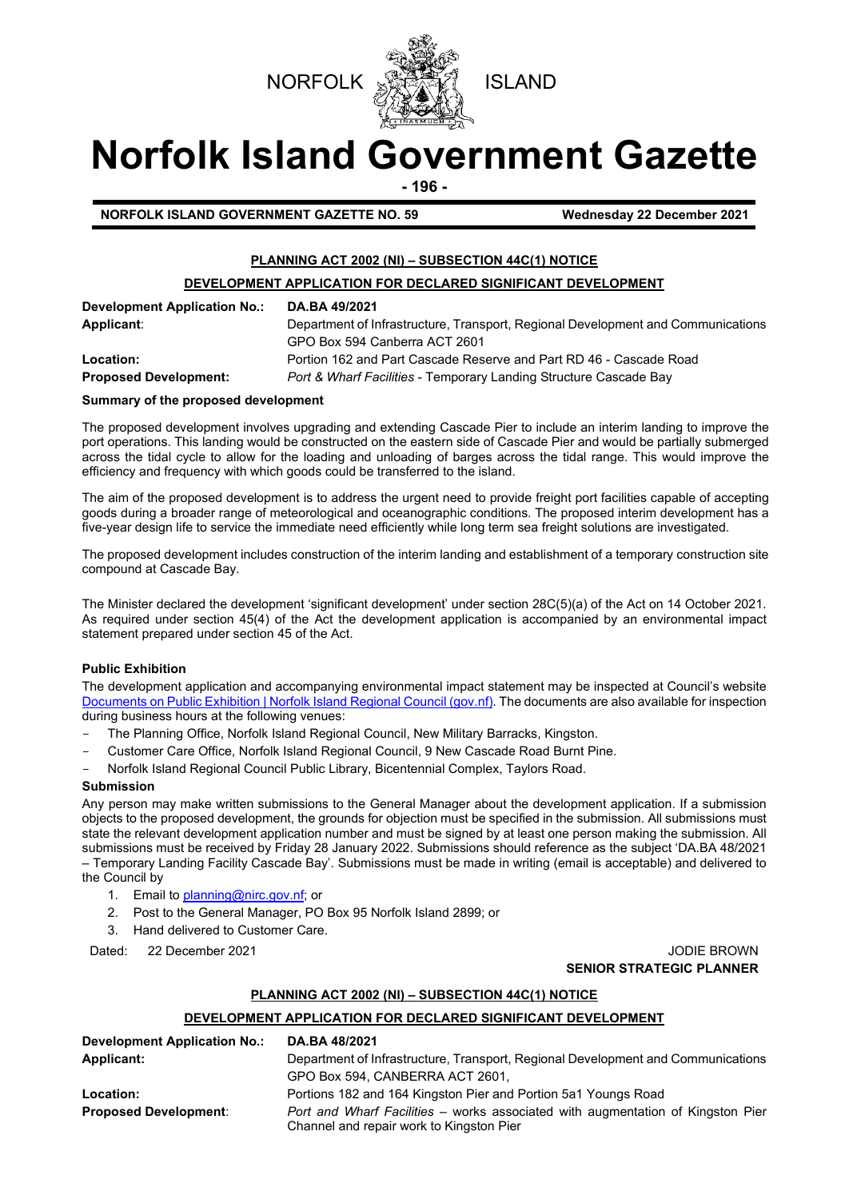



# **Norfolk Island Government Gazette**

**- 196 -**

**NORFOLK ISLAND GOVERNMENT GAZETTE NO. 59 Wednesday 22 December 2021**

# **PLANNING ACT 2002 (NI) – SUBSECTION 44C(1) NOTICE**

# **DEVELOPMENT APPLICATION FOR DECLARED SIGNIFICANT DEVELOPMENT**

| Development Application No.: | DA.BA 49/2021                                                                    |
|------------------------------|----------------------------------------------------------------------------------|
| Applicant:                   | Department of Infrastructure, Transport, Regional Development and Communications |
|                              | GPO Box 594 Canberra ACT 2601                                                    |
| <b>Location:</b>             | Portion 162 and Part Cascade Reserve and Part RD 46 - Cascade Road               |
| <b>Proposed Development:</b> | <b>Port &amp; Wharf Facilities - Temporary Landing Structure Cascade Bay</b>     |

# **Summary of the proposed development**

The proposed development involves upgrading and extending Cascade Pier to include an interim landing to improve the port operations. This landing would be constructed on the eastern side of Cascade Pier and would be partially submerged across the tidal cycle to allow for the loading and unloading of barges across the tidal range. This would improve the efficiency and frequency with which goods could be transferred to the island.

The aim of the proposed development is to address the urgent need to provide freight port facilities capable of accepting goods during a broader range of meteorological and oceanographic conditions. The proposed interim development has a five-year design life to service the immediate need efficiently while long term sea freight solutions are investigated.

The proposed development includes construction of the interim landing and establishment of a temporary construction site compound at Cascade Bay.

The Minister declared the development 'significant development' under section 28C(5)(a) of the Act on 14 October 2021. As required under section 45(4) of the Act the development application is accompanied by an environmental impact statement prepared under section 45 of the Act.

# **Public Exhibition**

The development application and accompanying environmental impact statement may be inspected at Council's website [Documents on Public Exhibition | Norfolk Island Regional Council \(gov.nf\).](http://www.norfolkisland.gov.nf/your-council/council-documents/documents-public-exhibition) The documents are also available for inspection during business hours at the following venues:

- The Planning Office, Norfolk Island Regional Council, New Military Barracks, Kingston.
- Customer Care Office, Norfolk Island Regional Council, 9 New Cascade Road Burnt Pine.
- Norfolk Island Regional Council Public Library, Bicentennial Complex, Taylors Road.

# **Submission**

Any person may make written submissions to the General Manager about the development application. If a submission objects to the proposed development, the grounds for objection must be specified in the submission. All submissions must state the relevant development application number and must be signed by at least one person making the submission. All submissions must be received by Friday 28 January 2022. Submissions should reference as the subject 'DA.BA 48/2021 – Temporary Landing Facility Cascade Bay'. Submissions must be made in writing (email is acceptable) and delivered to the Council by

- 1. Email to planning@nirc.gov.nf; or
- 2. Post to the General Manager, PO Box 95 Norfolk Island 2899; or
- 3. Hand delivered to Customer Care.

# Dated: 22 December 2021 JODIE BROWN **SENIOR STRATEGIC PLANNER**

# **PLANNING ACT 2002 (NI) – SUBSECTION 44C(1) NOTICE**

# **DEVELOPMENT APPLICATION FOR DECLARED SIGNIFICANT DEVELOPMENT**

| Development Application No.: | DA.BA 48/2021                                                                                                               |
|------------------------------|-----------------------------------------------------------------------------------------------------------------------------|
| Applicant:                   | Department of Infrastructure, Transport, Regional Development and Communications                                            |
|                              | GPO Box 594. CANBERRA ACT 2601.                                                                                             |
| Location:                    | Portions 182 and 164 Kingston Pier and Portion 5a1 Youngs Road                                                              |
| <b>Proposed Development:</b> | Port and Wharf Facilities – works associated with augmentation of Kingston Pier<br>Channel and repair work to Kingston Pier |